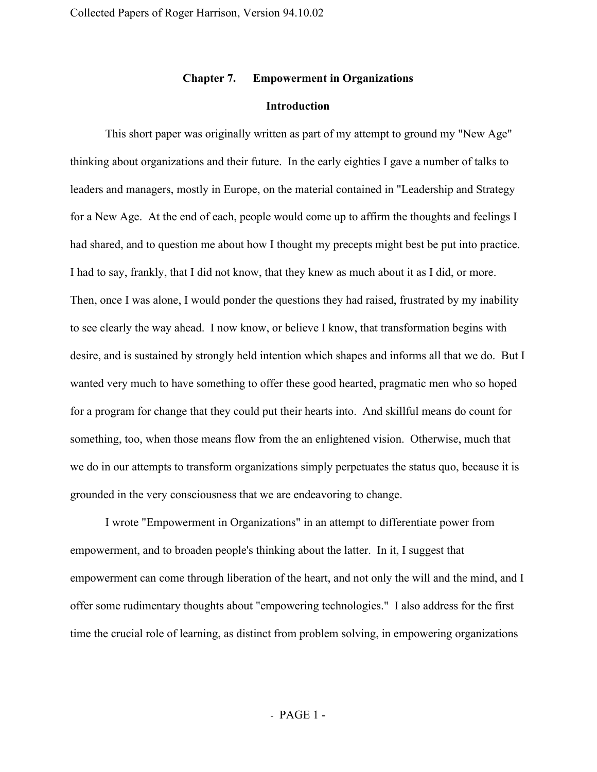# **Chapter 7. Empowerment in Organizations**

## **Introduction**

This short paper was originally written as part of my attempt to ground my "New Age" thinking about organizations and their future. In the early eighties I gave a number of talks to leaders and managers, mostly in Europe, on the material contained in "Leadership and Strategy for a New Age. At the end of each, people would come up to affirm the thoughts and feelings I had shared, and to question me about how I thought my precepts might best be put into practice. I had to say, frankly, that I did not know, that they knew as much about it as I did, or more. Then, once I was alone, I would ponder the questions they had raised, frustrated by my inability to see clearly the way ahead. I now know, or believe I know, that transformation begins with desire, and is sustained by strongly held intention which shapes and informs all that we do. But I wanted very much to have something to offer these good hearted, pragmatic men who so hoped for a program for change that they could put their hearts into. And skillful means do count for something, too, when those means flow from the an enlightened vision. Otherwise, much that we do in our attempts to transform organizations simply perpetuates the status quo, because it is grounded in the very consciousness that we are endeavoring to change.

I wrote "Empowerment in Organizations" in an attempt to differentiate power from empowerment, and to broaden people's thinking about the latter. In it, I suggest that empowerment can come through liberation of the heart, and not only the will and the mind, and I offer some rudimentary thoughts about "empowering technologies." I also address for the first time the crucial role of learning, as distinct from problem solving, in empowering organizations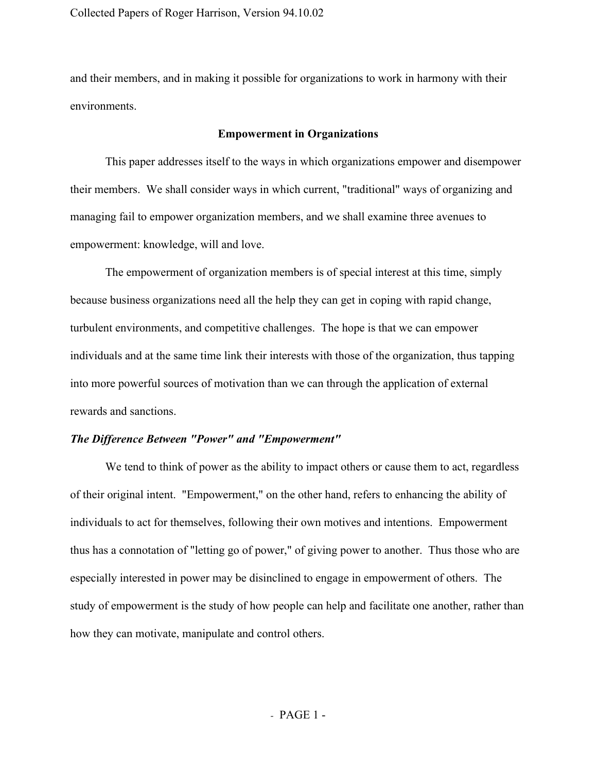and their members, and in making it possible for organizations to work in harmony with their environments.

## **Empowerment in Organizations**

This paper addresses itself to the ways in which organizations empower and disempower their members. We shall consider ways in which current, "traditional" ways of organizing and managing fail to empower organization members, and we shall examine three avenues to empowerment: knowledge, will and love.

The empowerment of organization members is of special interest at this time, simply because business organizations need all the help they can get in coping with rapid change, turbulent environments, and competitive challenges. The hope is that we can empower individuals and at the same time link their interests with those of the organization, thus tapping into more powerful sources of motivation than we can through the application of external rewards and sanctions.

## *The Difference Between "Power" and "Empowerment"*

We tend to think of power as the ability to impact others or cause them to act, regardless of their original intent. "Empowerment," on the other hand, refers to enhancing the ability of individuals to act for themselves, following their own motives and intentions. Empowerment thus has a connotation of "letting go of power," of giving power to another. Thus those who are especially interested in power may be disinclined to engage in empowerment of others. The study of empowerment is the study of how people can help and facilitate one another, rather than how they can motivate, manipulate and control others.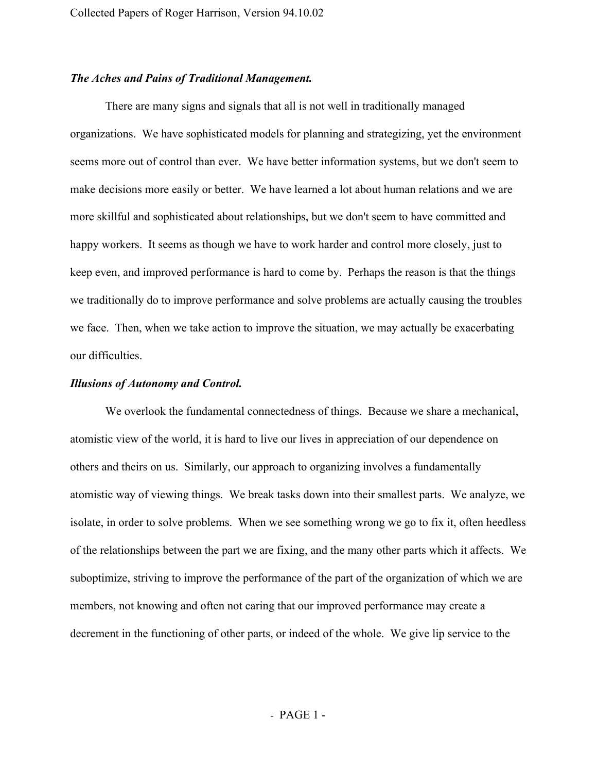# *The Aches and Pains of Traditional Management.*

There are many signs and signals that all is not well in traditionally managed organizations. We have sophisticated models for planning and strategizing, yet the environment seems more out of control than ever. We have better information systems, but we don't seem to make decisions more easily or better. We have learned a lot about human relations and we are more skillful and sophisticated about relationships, but we don't seem to have committed and happy workers. It seems as though we have to work harder and control more closely, just to keep even, and improved performance is hard to come by. Perhaps the reason is that the things we traditionally do to improve performance and solve problems are actually causing the troubles we face. Then, when we take action to improve the situation, we may actually be exacerbating our difficulties.

## *Illusions of Autonomy and Control.*

We overlook the fundamental connectedness of things. Because we share a mechanical, atomistic view of the world, it is hard to live our lives in appreciation of our dependence on others and theirs on us. Similarly, our approach to organizing involves a fundamentally atomistic way of viewing things. We break tasks down into their smallest parts. We analyze, we isolate, in order to solve problems. When we see something wrong we go to fix it, often heedless of the relationships between the part we are fixing, and the many other parts which it affects. We suboptimize, striving to improve the performance of the part of the organization of which we are members, not knowing and often not caring that our improved performance may create a decrement in the functioning of other parts, or indeed of the whole. We give lip service to the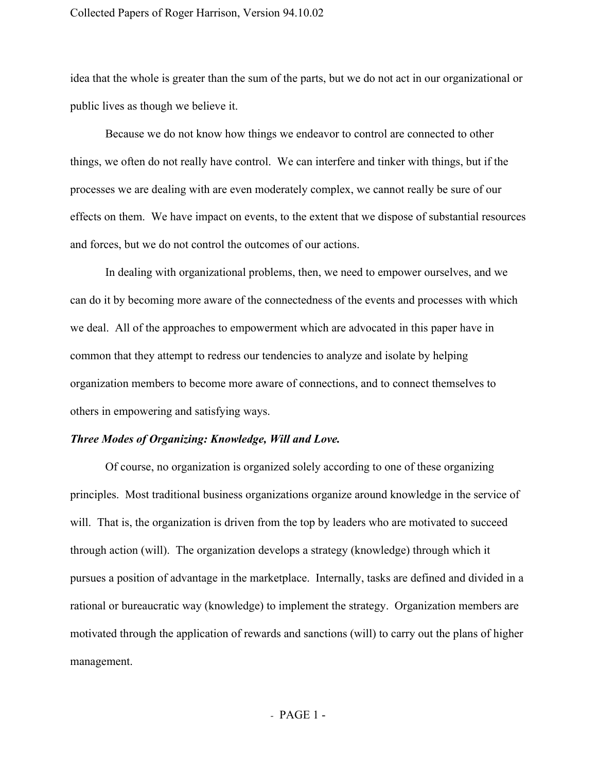## Collected Papers of Roger Harrison, Version 94.10.02

idea that the whole is greater than the sum of the parts, but we do not act in our organizational or public lives as though we believe it.

Because we do not know how things we endeavor to control are connected to other things, we often do not really have control. We can interfere and tinker with things, but if the processes we are dealing with are even moderately complex, we cannot really be sure of our effects on them. We have impact on events, to the extent that we dispose of substantial resources and forces, but we do not control the outcomes of our actions.

In dealing with organizational problems, then, we need to empower ourselves, and we can do it by becoming more aware of the connectedness of the events and processes with which we deal. All of the approaches to empowerment which are advocated in this paper have in common that they attempt to redress our tendencies to analyze and isolate by helping organization members to become more aware of connections, and to connect themselves to others in empowering and satisfying ways.

## *Three Modes of Organizing: Knowledge, Will and Love.*

Of course, no organization is organized solely according to one of these organizing principles. Most traditional business organizations organize around knowledge in the service of will. That is, the organization is driven from the top by leaders who are motivated to succeed through action (will). The organization develops a strategy (knowledge) through which it pursues a position of advantage in the marketplace. Internally, tasks are defined and divided in a rational or bureaucratic way (knowledge) to implement the strategy. Organization members are motivated through the application of rewards and sanctions (will) to carry out the plans of higher management.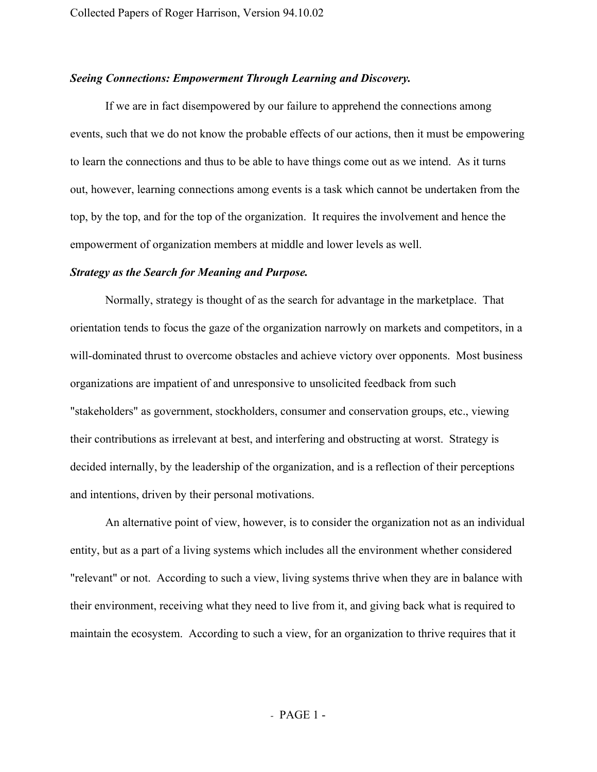# *Seeing Connections: Empowerment Through Learning and Discovery.*

If we are in fact disempowered by our failure to apprehend the connections among events, such that we do not know the probable effects of our actions, then it must be empowering to learn the connections and thus to be able to have things come out as we intend. As it turns out, however, learning connections among events is a task which cannot be undertaken from the top, by the top, and for the top of the organization. It requires the involvement and hence the empowerment of organization members at middle and lower levels as well.

### *Strategy as the Search for Meaning and Purpose.*

Normally, strategy is thought of as the search for advantage in the marketplace. That orientation tends to focus the gaze of the organization narrowly on markets and competitors, in a will-dominated thrust to overcome obstacles and achieve victory over opponents. Most business organizations are impatient of and unresponsive to unsolicited feedback from such "stakeholders" as government, stockholders, consumer and conservation groups, etc., viewing their contributions as irrelevant at best, and interfering and obstructing at worst. Strategy is decided internally, by the leadership of the organization, and is a reflection of their perceptions and intentions, driven by their personal motivations.

An alternative point of view, however, is to consider the organization not as an individual entity, but as a part of a living systems which includes all the environment whether considered "relevant" or not. According to such a view, living systems thrive when they are in balance with their environment, receiving what they need to live from it, and giving back what is required to maintain the ecosystem. According to such a view, for an organization to thrive requires that it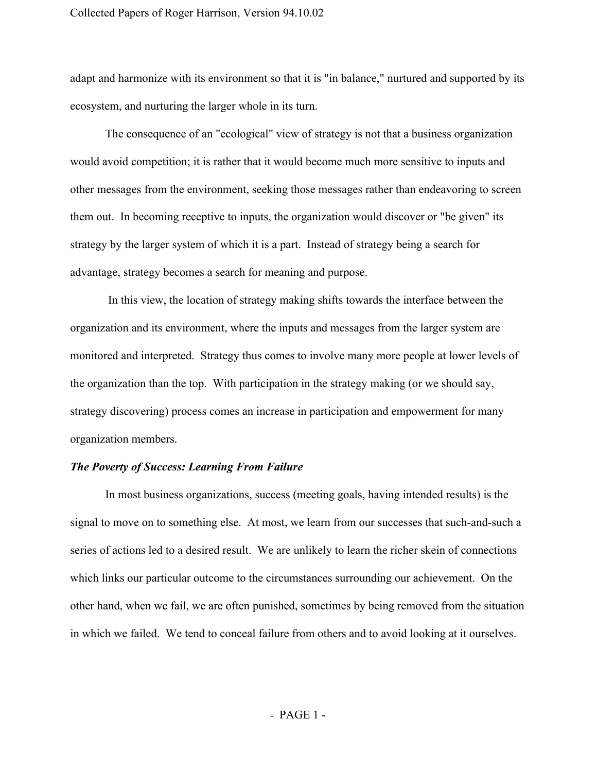adapt and harmonize with its environment so that it is "in balance," nurtured and supported by its ecosystem, and nurturing the larger whole in its turn.

The consequence of an "ecological" view of strategy is not that a business organization would avoid competition; it is rather that it would become much more sensitive to inputs and other messages from the environment, seeking those messages rather than endeavoring to screen them out. In becoming receptive to inputs, the organization would discover or "be given" its strategy by the larger system of which it is a part. Instead of strategy being a search for advantage, strategy becomes a search for meaning and purpose.

In this view, the location of strategy making shifts towards the interface between the organization and its environment, where the inputs and messages from the larger system are monitored and interpreted. Strategy thus comes to involve many more people at lower levels of the organization than the top. With participation in the strategy making (or we should say, strategy discovering) process comes an increase in participation and empowerment for many organization members.

# *The Poverty of Success: Learning From Failure*

In most business organizations, success (meeting goals, having intended results) is the signal to move on to something else. At most, we learn from our successes that such-and-such a series of actions led to a desired result. We are unlikely to learn the richer skein of connections which links our particular outcome to the circumstances surrounding our achievement. On the other hand, when we fail, we are often punished, sometimes by being removed from the situation in which we failed. We tend to conceal failure from others and to avoid looking at it ourselves.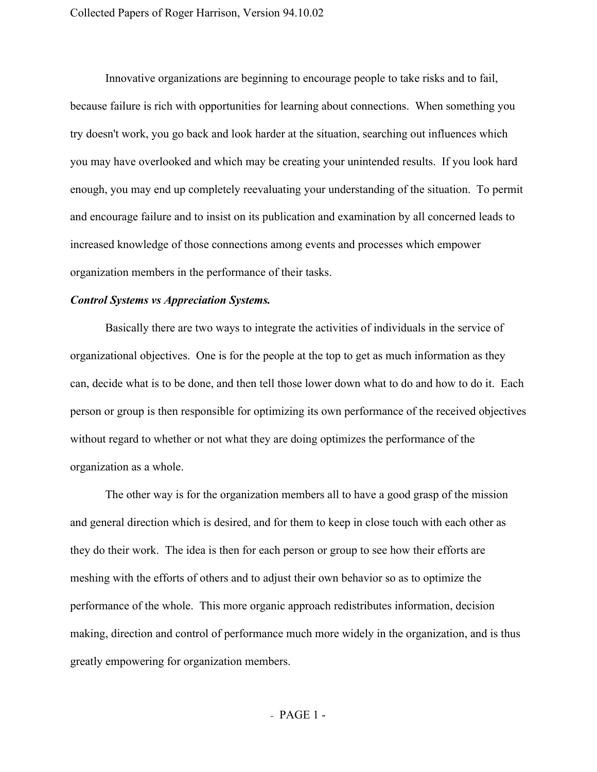Innovative organizations are beginning to encourage people to take risks and to fail, because failure is rich with opportunities for learning about connections. When something you try doesn't work, you go back and look harder at the situation, searching out influences which you may have overlooked and which may be creating your unintended results. If you look hard enough, you may end up completely reevaluating your understanding of the situation. To permit and encourage failure and to insist on its publication and examination by all concerned leads to increased knowledge of those connections among events and processes which empower organization members in the performance of their tasks.

# *Control Systems vs Appreciation Systems.*

Basically there are two ways to integrate the activities of individuals in the service of organizational objectives. One is for the people at the top to get as much information as they can, decide what is to be done, and then tell those lower down what to do and how to do it. Each person or group is then responsible for optimizing its own performance of the received objectives without regard to whether or not what they are doing optimizes the performance of the organization as a whole.

The other way is for the organization members all to have a good grasp of the mission and general direction which is desired, and for them to keep in close touch with each other as they do their work. The idea is then for each person or group to see how their efforts are meshing with the efforts of others and to adjust their own behavior so as to optimize the performance of the whole. This more organic approach redistributes information, decision making, direction and control of performance much more widely in the organization, and is thus greatly empowering for organization members.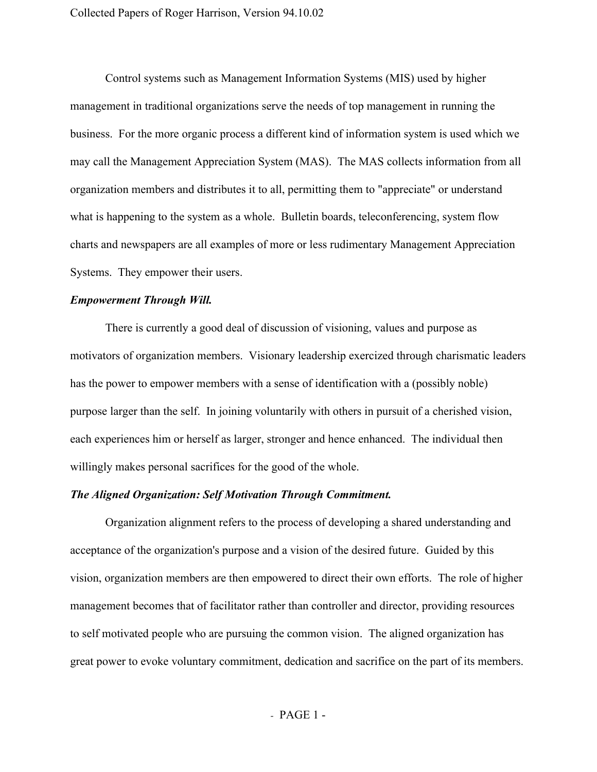Control systems such as Management Information Systems (MIS) used by higher management in traditional organizations serve the needs of top management in running the business. For the more organic process a different kind of information system is used which we may call the Management Appreciation System (MAS). The MAS collects information from all organization members and distributes it to all, permitting them to "appreciate" or understand what is happening to the system as a whole. Bulletin boards, teleconferencing, system flow charts and newspapers are all examples of more or less rudimentary Management Appreciation Systems. They empower their users.

# *Empowerment Through Will.*

There is currently a good deal of discussion of visioning, values and purpose as motivators of organization members. Visionary leadership exercized through charismatic leaders has the power to empower members with a sense of identification with a (possibly noble) purpose larger than the self. In joining voluntarily with others in pursuit of a cherished vision, each experiences him or herself as larger, stronger and hence enhanced. The individual then willingly makes personal sacrifices for the good of the whole.

## *The Aligned Organization: Self Motivation Through Commitment.*

Organization alignment refers to the process of developing a shared understanding and acceptance of the organization's purpose and a vision of the desired future. Guided by this vision, organization members are then empowered to direct their own efforts. The role of higher management becomes that of facilitator rather than controller and director, providing resources to self motivated people who are pursuing the common vision. The aligned organization has great power to evoke voluntary commitment, dedication and sacrifice on the part of its members.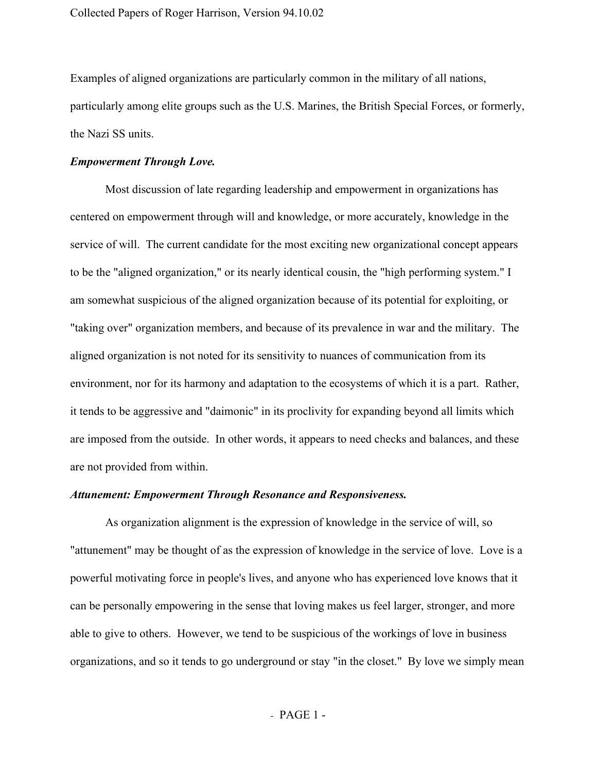Examples of aligned organizations are particularly common in the military of all nations, particularly among elite groups such as the U.S. Marines, the British Special Forces, or formerly, the Nazi SS units.

## *Empowerment Through Love.*

Most discussion of late regarding leadership and empowerment in organizations has centered on empowerment through will and knowledge, or more accurately, knowledge in the service of will. The current candidate for the most exciting new organizational concept appears to be the "aligned organization," or its nearly identical cousin, the "high performing system." I am somewhat suspicious of the aligned organization because of its potential for exploiting, or "taking over" organization members, and because of its prevalence in war and the military. The aligned organization is not noted for its sensitivity to nuances of communication from its environment, nor for its harmony and adaptation to the ecosystems of which it is a part. Rather, it tends to be aggressive and "daimonic" in its proclivity for expanding beyond all limits which are imposed from the outside. In other words, it appears to need checks and balances, and these are not provided from within.

## *Attunement: Empowerment Through Resonance and Responsiveness.*

As organization alignment is the expression of knowledge in the service of will, so "attunement" may be thought of as the expression of knowledge in the service of love. Love is a powerful motivating force in people's lives, and anyone who has experienced love knows that it can be personally empowering in the sense that loving makes us feel larger, stronger, and more able to give to others. However, we tend to be suspicious of the workings of love in business organizations, and so it tends to go underground or stay "in the closet." By love we simply mean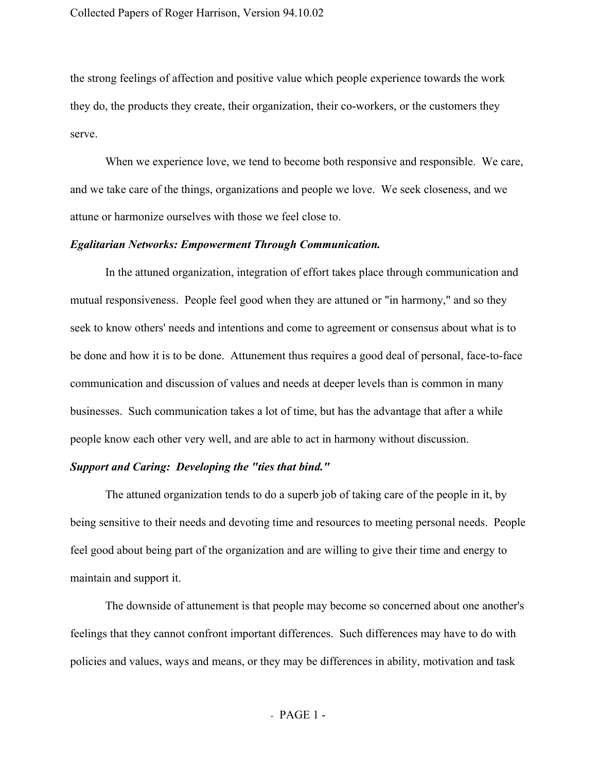the strong feelings of affection and positive value which people experience towards the work they do, the products they create, their organization, their co-workers, or the customers they serve.

When we experience love, we tend to become both responsive and responsible. We care, and we take care of the things, organizations and people we love. We seek closeness, and we attune or harmonize ourselves with those we feel close to.

#### *Egalitarian Networks: Empowerment Through Communication.*

In the attuned organization, integration of effort takes place through communication and mutual responsiveness. People feel good when they are attuned or "in harmony," and so they seek to know others' needs and intentions and come to agreement or consensus about what is to be done and how it is to be done. Attunement thus requires a good deal of personal, face-to-face communication and discussion of values and needs at deeper levels than is common in many businesses. Such communication takes a lot of time, but has the advantage that after a while people know each other very well, and are able to act in harmony without discussion.

# *Support and Caring: Developing the "ties that bind."*

The attuned organization tends to do a superb job of taking care of the people in it, by being sensitive to their needs and devoting time and resources to meeting personal needs. People feel good about being part of the organization and are willing to give their time and energy to maintain and support it.

The downside of attunement is that people may become so concerned about one another's feelings that they cannot confront important differences. Such differences may have to do with policies and values, ways and means, or they may be differences in ability, motivation and task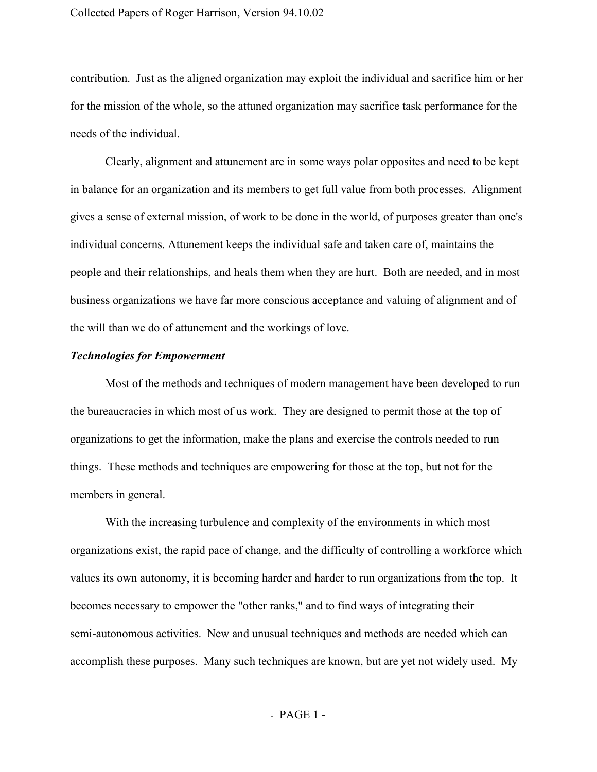contribution. Just as the aligned organization may exploit the individual and sacrifice him or her for the mission of the whole, so the attuned organization may sacrifice task performance for the needs of the individual.

Clearly, alignment and attunement are in some ways polar opposites and need to be kept in balance for an organization and its members to get full value from both processes. Alignment gives a sense of external mission, of work to be done in the world, of purposes greater than one's individual concerns. Attunement keeps the individual safe and taken care of, maintains the people and their relationships, and heals them when they are hurt. Both are needed, and in most business organizations we have far more conscious acceptance and valuing of alignment and of the will than we do of attunement and the workings of love.

## *Technologies for Empowerment*

Most of the methods and techniques of modern management have been developed to run the bureaucracies in which most of us work. They are designed to permit those at the top of organizations to get the information, make the plans and exercise the controls needed to run things. These methods and techniques are empowering for those at the top, but not for the members in general.

With the increasing turbulence and complexity of the environments in which most organizations exist, the rapid pace of change, and the difficulty of controlling a workforce which values its own autonomy, it is becoming harder and harder to run organizations from the top. It becomes necessary to empower the "other ranks," and to find ways of integrating their semi-autonomous activities. New and unusual techniques and methods are needed which can accomplish these purposes. Many such techniques are known, but are yet not widely used. My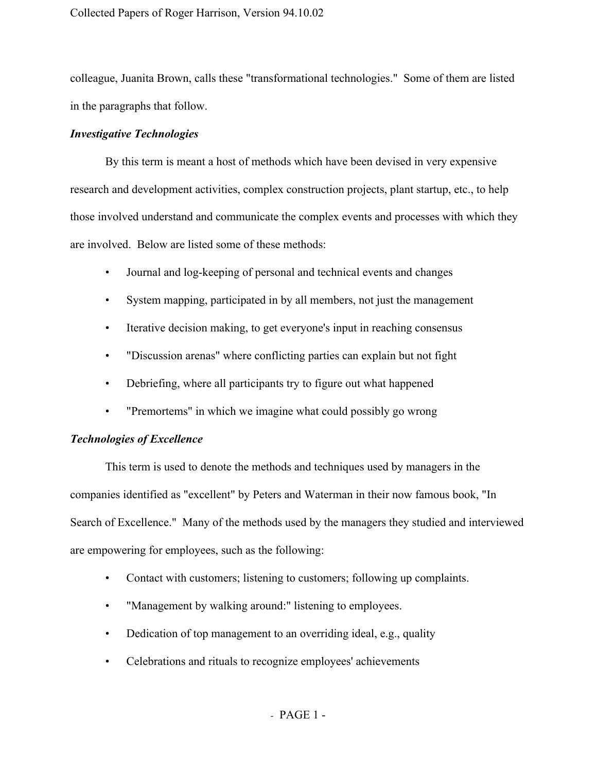colleague, Juanita Brown, calls these "transformational technologies." Some of them are listed in the paragraphs that follow.

# *Investigative Technologies*

By this term is meant a host of methods which have been devised in very expensive research and development activities, complex construction projects, plant startup, etc., to help those involved understand and communicate the complex events and processes with which they are involved. Below are listed some of these methods:

- Journal and log-keeping of personal and technical events and changes
- System mapping, participated in by all members, not just the management
- Iterative decision making, to get everyone's input in reaching consensus
- "Discussion arenas" where conflicting parties can explain but not fight
- Debriefing, where all participants try to figure out what happened
- "Premortems" in which we imagine what could possibly go wrong

# *Technologies of Excellence*

This term is used to denote the methods and techniques used by managers in the companies identified as "excellent" by Peters and Waterman in their now famous book, "In Search of Excellence." Many of the methods used by the managers they studied and interviewed are empowering for employees, such as the following:

- Contact with customers; listening to customers; following up complaints.
- "Management by walking around:" listening to employees.
- Dedication of top management to an overriding ideal, e.g., quality
- Celebrations and rituals to recognize employees' achievements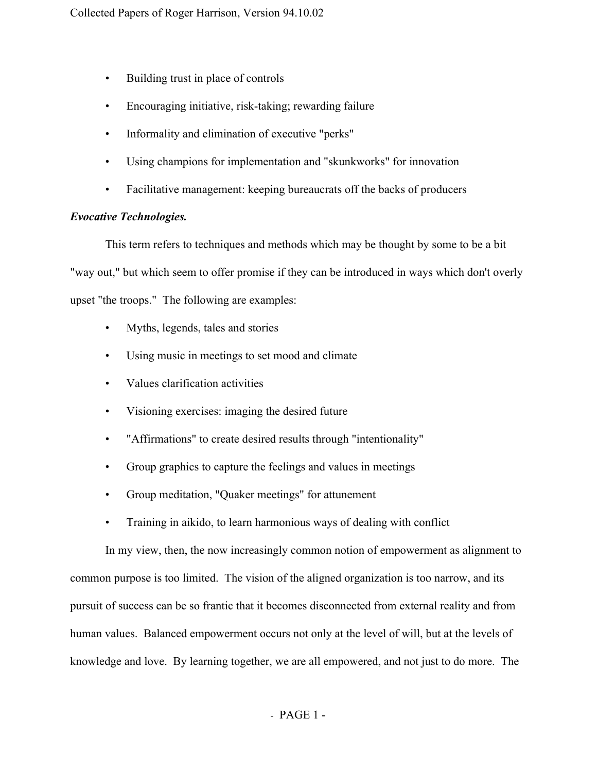- Building trust in place of controls
- Encouraging initiative, risk-taking; rewarding failure
- Informality and elimination of executive "perks"
- Using champions for implementation and "skunkworks" for innovation
- Facilitative management: keeping bureaucrats off the backs of producers

# *Evocative Technologies.*

This term refers to techniques and methods which may be thought by some to be a bit "way out," but which seem to offer promise if they can be introduced in ways which don't overly upset "the troops." The following are examples:

- Myths, legends, tales and stories
- Using music in meetings to set mood and climate
- Values clarification activities
- Visioning exercises: imaging the desired future
- "Affirmations" to create desired results through "intentionality"
- Group graphics to capture the feelings and values in meetings
- Group meditation, "Quaker meetings" for attunement
- Training in aikido, to learn harmonious ways of dealing with conflict

In my view, then, the now increasingly common notion of empowerment as alignment to common purpose is too limited. The vision of the aligned organization is too narrow, and its pursuit of success can be so frantic that it becomes disconnected from external reality and from human values. Balanced empowerment occurs not only at the level of will, but at the levels of knowledge and love. By learning together, we are all empowered, and not just to do more. The